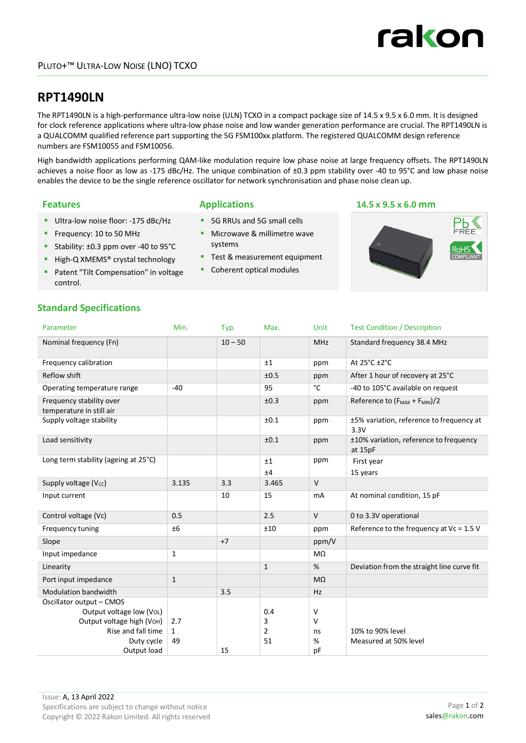## **RPT1490LN**

The RPT1490LN is a high-performance ultra-low noise (ULN) TCXO in a compact package size of 14.5 x 9.5 x 6.0 mm. It is designed for clock reference applications where ultra-low phase noise and low wander generation performance are crucial. The RPT1490LN is a QUALCOMM qualified reference part supporting the 5G FSM100xx platform. The registered QUALCOMM design reference numbers are FSM10055 and FSM10056.

High bandwidth applications performing QAM-like modulation require low phase noise at large frequency offsets. The RPT1490LN achieves a noise floor as low as -175 dBc/Hz. The unique combination of ±0.3 ppm stability over -40 to 95°C and low phase noise enables the device to be the single reference oscillator for network synchronisation and phase noise clean up.

- Ultra-low noise floor: -175 dBc/Hz
- Frequency: 10 to 50 MHz
- Stability: ±0.3 ppm over -40 to 95°C
- High-Q XMEMS<sup>®</sup> crystal technology
- **Patent "Tilt Compensation" in voltage** control.

- **5G RRUs and 5G small cells**
- **Microwave & millimetre wave** systems
- Test & measurement equipment
- Coherent optical modules

#### **Features Applications 14.5 x 9.5 x 6.0 mm**



#### **Standard Specifications**

| Parameter                                            | Min.         | Typ.      | Max.         | Unit       | <b>Test Condition / Description</b>                   |
|------------------------------------------------------|--------------|-----------|--------------|------------|-------------------------------------------------------|
| Nominal frequency (Fn)                               |              | $10 - 50$ |              | <b>MHz</b> | Standard frequency 38.4 MHz                           |
| Frequency calibration                                |              |           | ±1           | ppm        | At 25°C ±2°C                                          |
| Reflow shift                                         |              |           | ±0.5         | ppm        | After 1 hour of recovery at 25°C                      |
| Operating temperature range                          | $-40$        |           | 95           | °C         | -40 to 105°C available on request                     |
| Frequency stability over<br>temperature in still air |              |           | ±0.3         | ppm        | Reference to (F <sub>MAX</sub> + F <sub>MIN</sub> )/2 |
| Supply voltage stability                             |              |           | ±0.1         | ppm        | ±5% variation, reference to frequency at<br>3.3V      |
| Load sensitivity                                     |              |           | ±0.1         | ppm        | ±10% variation, reference to frequency<br>at 15pF     |
| Long term stability (ageing at 25°C)                 |              |           | ±1           | ppm        | First year                                            |
|                                                      |              |           | ±4           |            | 15 years                                              |
| Supply voltage (V <sub>cc</sub> )                    | 3.135        | 3.3       | 3.465        | $\vee$     |                                                       |
| Input current                                        |              | 10        | 15           | <b>mA</b>  | At nominal condition, 15 pF                           |
| Control voltage (Vc)                                 | 0.5          |           | 2.5          | $\vee$     | 0 to 3.3V operational                                 |
| Frequency tuning                                     | ±6           |           | ±10          | ppm        | Reference to the frequency at $Vc = 1.5 V$            |
| Slope                                                |              | $+7$      |              | ppm/V      |                                                       |
| Input impedance                                      | $\mathbf{1}$ |           |              | $M\Omega$  |                                                       |
| Linearity                                            |              |           | $\mathbf{1}$ | %          | Deviation from the straight line curve fit            |
| Port input impedance                                 | $\mathbf{1}$ |           |              | $M\Omega$  |                                                       |
| Modulation bandwidth                                 |              | 3.5       |              | Hz         |                                                       |
| Oscillator output - CMOS                             |              |           |              |            |                                                       |
| Output voltage low (VoL)                             |              |           | 0.4          | V          |                                                       |
| Output voltage high (VOH)                            | 2.7          |           | 3            | V          |                                                       |
| Rise and fall time                                   | $\mathbf{1}$ |           | 2            | ns         | 10% to 90% level                                      |
| Duty cycle                                           | 49           |           | 51           | %          | Measured at 50% level                                 |
| Output load                                          |              | 15        |              | pF         |                                                       |